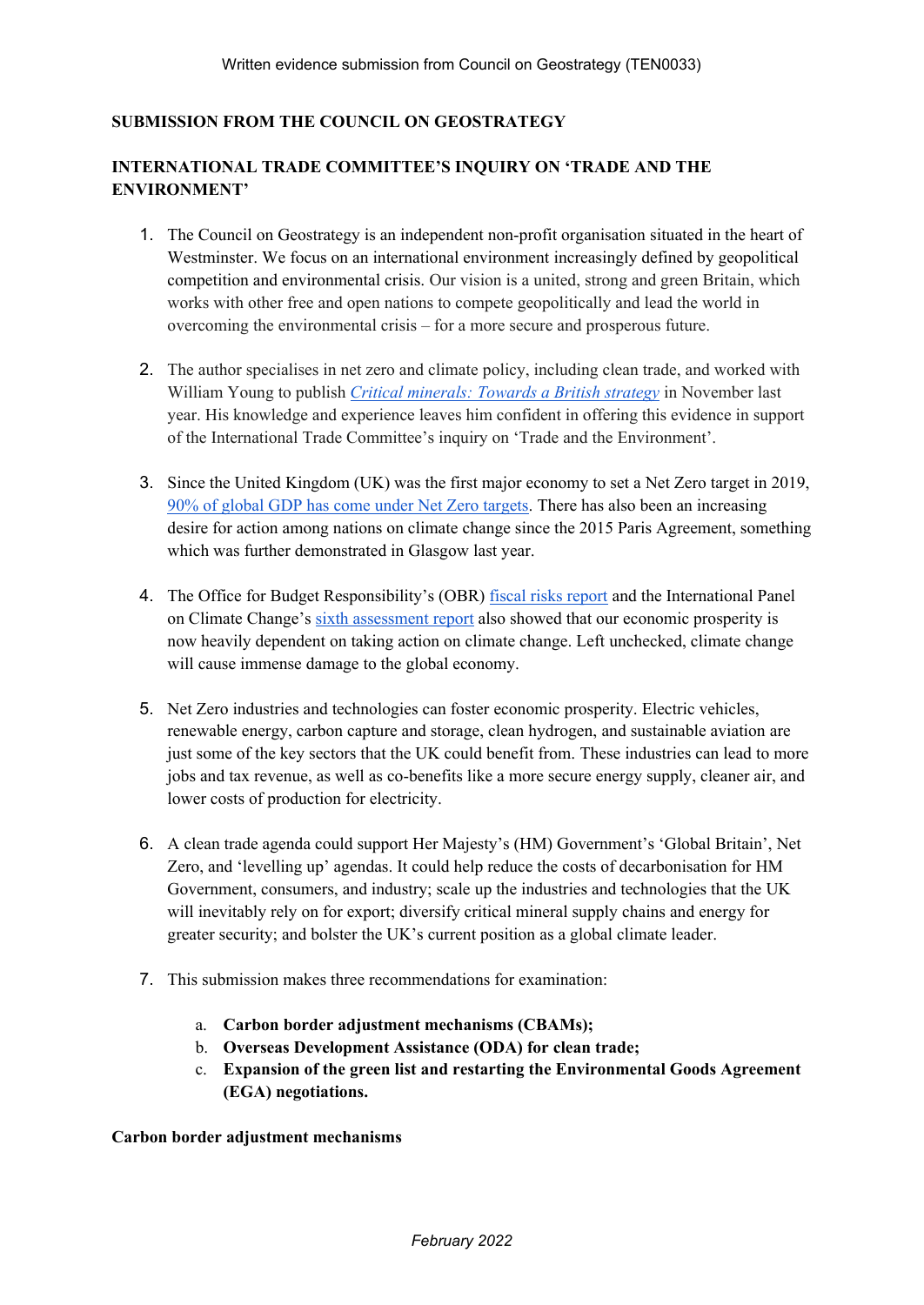## **SUBMISSION FROM THE COUNCIL ON GEOSTRATEGY**

## **INTERNATIONAL TRADE COMMITTEE'S INQUIRY ON 'TRADE AND THE ENVIRONMENT'**

- 1. The Council on Geostrategy is an independent non-profit organisation situated in the heart of Westminster. We focus on an international environment increasingly defined by geopolitical competition and environmental crisis. Our vision is a united, strong and green Britain, which works with other free and open nations to compete geopolitically and lead the world in overcoming the environmental crisis – for a more secure and prosperous future.
- 2. The author specialises in net zero and climate policy, including clean trade, and worked with William Young to publish *[Critical](https://www.geostrategy.org.uk/research/critical-minerals-towards-a-british-strategy/) [minerals:](https://www.geostrategy.org.uk/research/critical-minerals-towards-a-british-strategy/) [Towards](https://www.geostrategy.org.uk/research/critical-minerals-towards-a-british-strategy/) [a](https://www.geostrategy.org.uk/research/critical-minerals-towards-a-british-strategy/) [British](https://www.geostrategy.org.uk/research/critical-minerals-towards-a-british-strategy/) [strategy](https://www.geostrategy.org.uk/research/critical-minerals-towards-a-british-strategy/)* in November last year. His knowledge and experience leaves him confident in offering this evidence in support of the International Trade Committee's inquiry on 'Trade and the Environment'.
- 3. Since the United Kingdom (UK) was the first major economy to set a Net Zero target in 2019, [90%](https://zerotracker.net/) [of](https://zerotracker.net/) [global](https://zerotracker.net/) [GDP](https://zerotracker.net/) [has](https://zerotracker.net/) [come](https://zerotracker.net/) [under](https://zerotracker.net/) [Net](https://zerotracker.net/) [Zero](https://zerotracker.net/) [targets.](https://zerotracker.net/) There has also been an increasing desire for action among nations on climate change since the 2015 Paris Agreement, something which was further demonstrated in Glasgow last year.
- 4. The Office for Budget Responsibility's (OBR) [fiscal](https://obr.uk/fiscal-risks-report-2021-2/) [risks](https://obr.uk/fiscal-risks-report-2021-2/) [report](https://obr.uk/fiscal-risks-report-2021-2/) and the International Panel on Climate Change's [sixth](https://www.ipcc.ch/assessment-report/ar6/) [assessment](https://www.ipcc.ch/assessment-report/ar6/) [report](https://www.ipcc.ch/assessment-report/ar6/) also showed that our economic prosperity is now heavily dependent on taking action on climate change. Left unchecked, climate change will cause immense damage to the global economy.
- 5. Net Zero industries and technologies can foster economic prosperity. Electric vehicles, renewable energy, carbon capture and storage, clean hydrogen, and sustainable aviation are just some of the key sectors that the UK could benefit from. These industries can lead to more jobs and tax revenue, as well as co-benefits like a more secure energy supply, cleaner air, and lower costs of production for electricity.
- 6. A clean trade agenda could support Her Majesty's (HM) Government's 'Global Britain', Net Zero, and 'levelling up' agendas. It could help reduce the costs of decarbonisation for HM Government, consumers, and industry; scale up the industries and technologies that the UK will inevitably rely on for export; diversify critical mineral supply chains and energy for greater security; and bolster the UK's current position as a global climate leader.
- 7. This submission makes three recommendations for examination:
	- a. **Carbon border adjustment mechanisms (CBAMs);**
	- b. **Overseas Development Assistance (ODA) for clean trade;**
	- c. **Expansion of the green list and restarting the Environmental Goods Agreement (EGA) negotiations.**

**Carbon border adjustment mechanisms**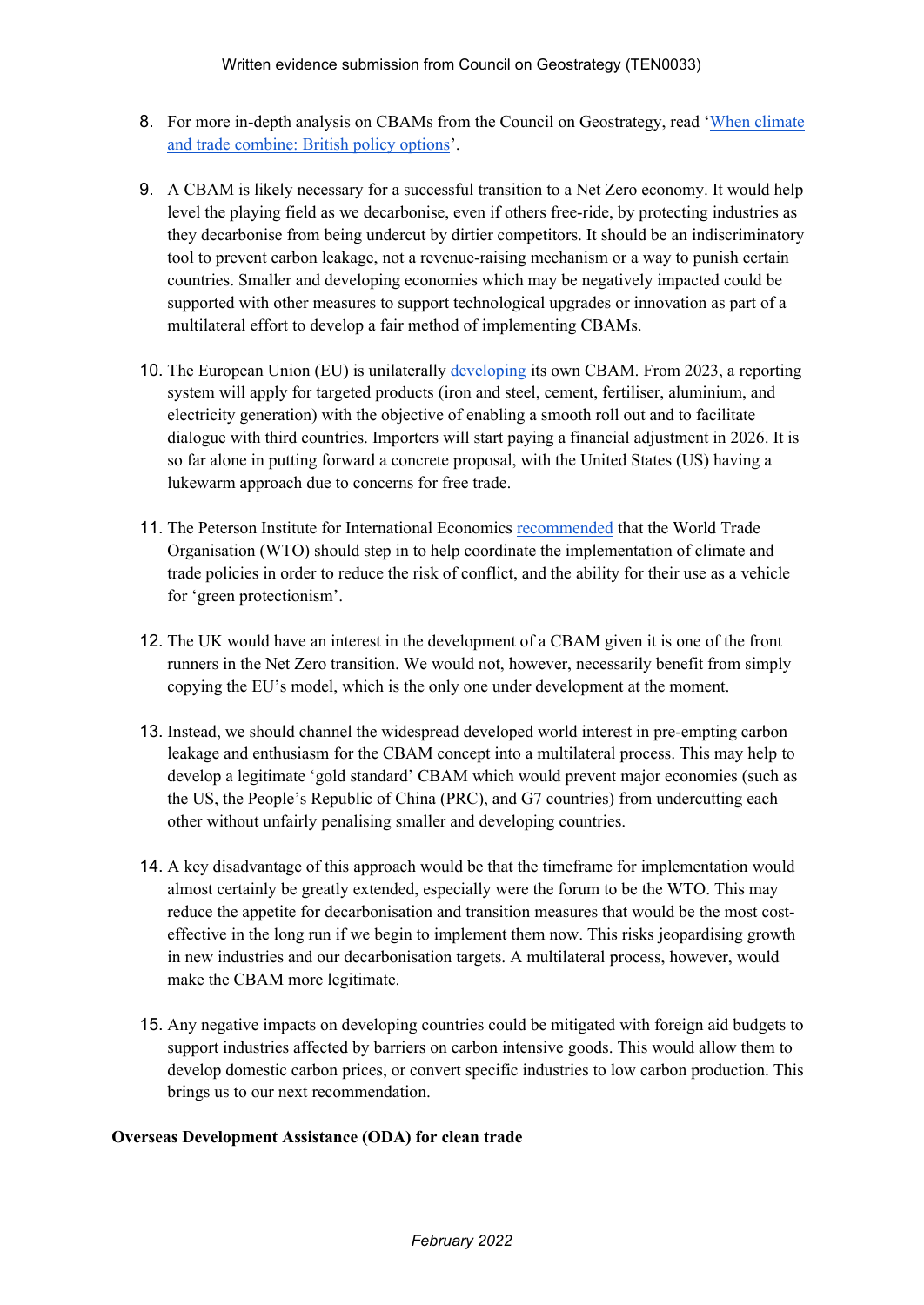- 8. For more in-depth analysis on CBAMs from the Council on Geostrategy, read '[When](https://www.geostrategy.org.uk/research/when-climate-and-trade-combine-british-policy-options/) [climate](https://www.geostrategy.org.uk/research/when-climate-and-trade-combine-british-policy-options/) [and](https://www.geostrategy.org.uk/research/when-climate-and-trade-combine-british-policy-options/) [trade](https://www.geostrategy.org.uk/research/when-climate-and-trade-combine-british-policy-options/) [combine:](https://www.geostrategy.org.uk/research/when-climate-and-trade-combine-british-policy-options/) [British](https://www.geostrategy.org.uk/research/when-climate-and-trade-combine-british-policy-options/) [policy](https://www.geostrategy.org.uk/research/when-climate-and-trade-combine-british-policy-options/) [options](https://www.geostrategy.org.uk/research/when-climate-and-trade-combine-british-policy-options/)'.
- 9. A CBAM is likely necessary for a successful transition to a Net Zero economy. It would help level the playing field as we decarbonise, even if others free-ride, by protecting industries as they decarbonise from being undercut by dirtier competitors. It should be an indiscriminatory tool to prevent carbon leakage, not a revenue-raising mechanism or a way to punish certain countries. Smaller and developing economies which may be negatively impacted could be supported with other measures to support technological upgrades or innovation as part of a multilateral effort to develop a fair method of implementing CBAMs.
- 10. The European Union (EU) is unilaterally [developing](https://ec.europa.eu/commission/presscorner/detail/en/qanda_21_3661) its own CBAM. From 2023, a reporting system will apply for targeted products (iron and steel, cement, fertiliser, aluminium, and electricity generation) with the objective of enabling a smooth roll out and to facilitate dialogue with third countries. Importers will start paying a financial adjustment in 2026. It is so far alone in putting forward a concrete proposal, with the United States (US) having a lukewarm approach due to concerns for free trade.
- 11. The Peterson Institute for International Economics [recommended](https://www.piie.com/blogs/trade-and-investment-policy-watch/divergent-climate-change-policies-among-countries-could) that the World Trade Organisation (WTO) should step in to help coordinate the implementation of climate and trade policies in order to reduce the risk of conflict, and the ability for their use as a vehicle for 'green protectionism'.
- 12. The UK would have an interest in the development of a CBAM given it is one of the front runners in the Net Zero transition. We would not, however, necessarily benefit from simply copying the EU's model, which is the only one under development at the moment.
- 13. Instead, we should channel the widespread developed world interest in pre-empting carbon leakage and enthusiasm for the CBAM concept into a multilateral process. This may help to develop a legitimate 'gold standard' CBAM which would prevent major economies (such as the US, the People's Republic of China (PRC), and G7 countries) from undercutting each other without unfairly penalising smaller and developing countries.
- 14. A key disadvantage of this approach would be that the timeframe for implementation would almost certainly be greatly extended, especially were the forum to be the WTO. This may reduce the appetite for decarbonisation and transition measures that would be the most costeffective in the long run if we begin to implement them now. This risks jeopardising growth in new industries and our decarbonisation targets. A multilateral process, however, would make the CBAM more legitimate.
- 15. Any negative impacts on developing countries could be mitigated with foreign aid budgets to support industries affected by barriers on carbon intensive goods. This would allow them to develop domestic carbon prices, or convert specific industries to low carbon production. This brings us to our next recommendation.

## **Overseas Development Assistance (ODA) for clean trade**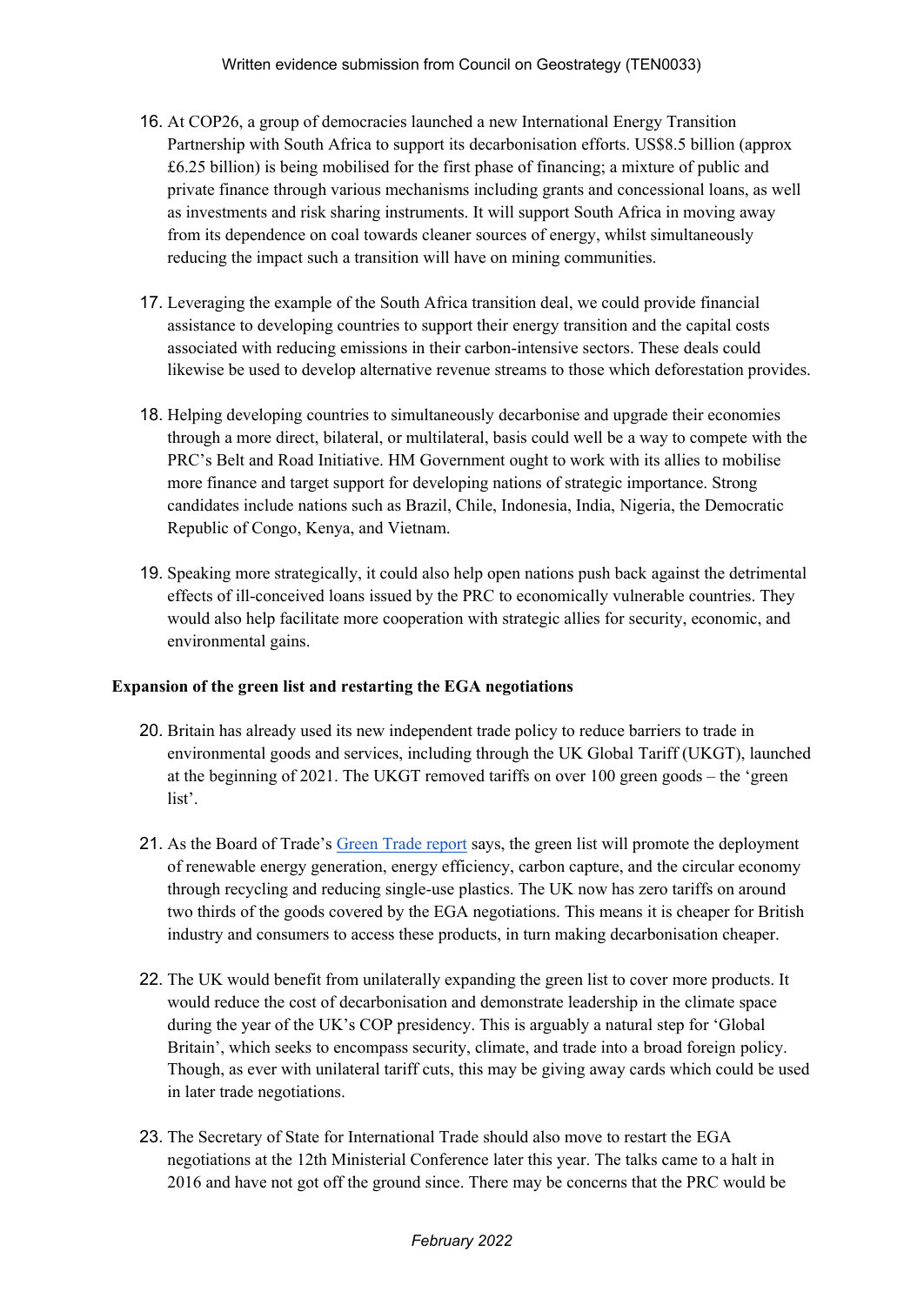- 16. At COP26, a group of democracies launched a new International Energy Transition Partnership with South Africa to support its decarbonisation efforts. US\$8.5 billion (approx £6.25 billion) is being mobilised for the first phase of financing; a mixture of public and private finance through various mechanisms including grants and concessional loans, as well as investments and risk sharing instruments. It will support South Africa in moving away from its dependence on coal towards cleaner sources of energy, whilst simultaneously reducing the impact such a transition will have on mining communities.
- 17. Leveraging the example of the South Africa transition deal, we could provide financial assistance to developing countries to support their energy transition and the capital costs associated with reducing emissions in their carbon-intensive sectors. These deals could likewise be used to develop alternative revenue streams to those which deforestation provides.
- 18. Helping developing countries to simultaneously decarbonise and upgrade their economies through a more direct, bilateral, or multilateral, basis could well be a way to compete with the PRC's Belt and Road Initiative. HM Government ought to work with its allies to mobilise more finance and target support for developing nations of strategic importance. Strong candidates include nations such as Brazil, Chile, Indonesia, India, Nigeria, the Democratic Republic of Congo, Kenya, and Vietnam.
- 19. Speaking more strategically, it could also help open nations push back against the detrimental effects of ill-conceived loans issued by the PRC to economically vulnerable countries. They would also help facilitate more cooperation with strategic allies for security, economic, and environmental gains.

## **Expansion of the green list and restarting the EGA negotiations**

- 20. Britain has already used its new independent trade policy to reduce barriers to trade in environmental goods and services, including through the UK Global Tariff (UKGT), launched at the beginning of 2021. The UKGT removed tariffs on over 100 green goods – the 'green list'.
- 21. As the Board of Trade's [Green](https://assets.publishing.service.gov.uk/government/uploads/system/uploads/attachment_data/file/1008120/board-of-trade-report-green-trade.pdf) [Trade](https://assets.publishing.service.gov.uk/government/uploads/system/uploads/attachment_data/file/1008120/board-of-trade-report-green-trade.pdf) [report](https://assets.publishing.service.gov.uk/government/uploads/system/uploads/attachment_data/file/1008120/board-of-trade-report-green-trade.pdf) says, the green list will promote the deployment of renewable energy generation, energy efficiency, carbon capture, and the circular economy through recycling and reducing single-use plastics. The UK now has zero tariffs on around two thirds of the goods covered by the EGA negotiations. This means it is cheaper for British industry and consumers to access these products, in turn making decarbonisation cheaper.
- 22. The UK would benefit from unilaterally expanding the green list to cover more products. It would reduce the cost of decarbonisation and demonstrate leadership in the climate space during the year of the UK's COP presidency. This is arguably a natural step for 'Global Britain', which seeks to encompass security, climate, and trade into a broad foreign policy. Though, as ever with unilateral tariff cuts, this may be giving away cards which could be used in later trade negotiations.
- 23. The Secretary of State for International Trade should also move to restart the EGA negotiations at the 12th Ministerial Conference later this year. The talks came to a halt in 2016 and have not got off the ground since. There may be concerns that the PRC would be